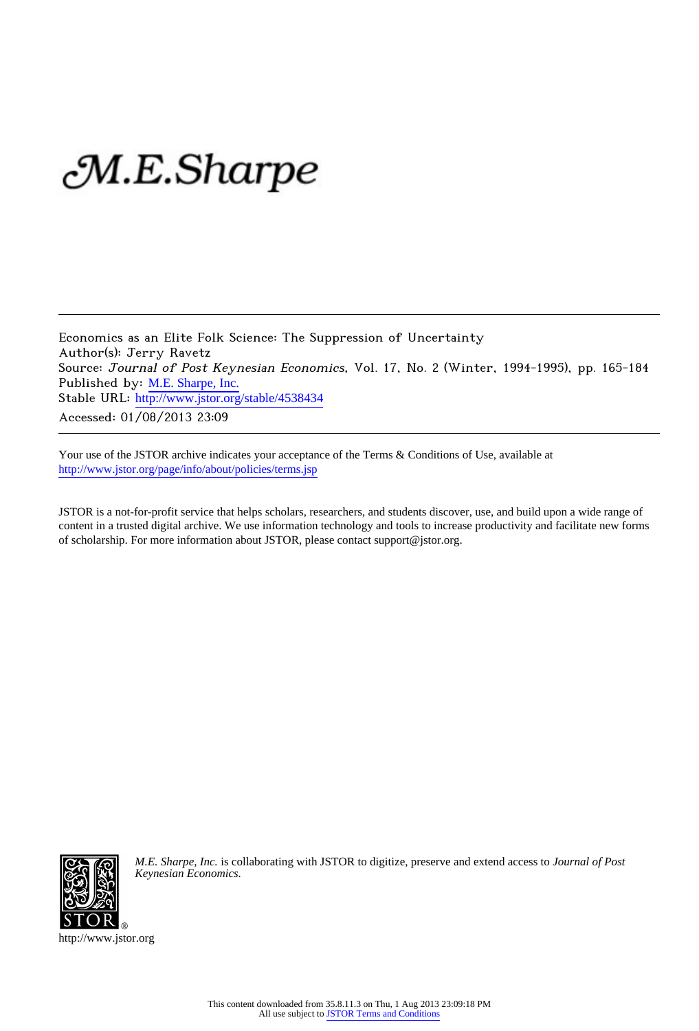# $\mathcal{S}M$ .E.Sharpe

Economics as an Elite Folk Science: The Suppression of Uncertainty Author(s): Jerry Ravetz Source: Journal of Post Keynesian Economics, Vol. 17, No. 2 (Winter, 1994-1995), pp. 165-184 Published by: [M.E. Sharpe, Inc.](http://www.jstor.org/action/showPublisher?publisherCode=mes) Stable URL: [http://www.jstor.org/stable/4538434](http://www.jstor.org/stable/4538434?origin=JSTOR-pdf) Accessed: 01/08/2013 23:09

Your use of the JSTOR archive indicates your acceptance of the Terms & Conditions of Use, available at <http://www.jstor.org/page/info/about/policies/terms.jsp>

JSTOR is a not-for-profit service that helps scholars, researchers, and students discover, use, and build upon a wide range of content in a trusted digital archive. We use information technology and tools to increase productivity and facilitate new forms of scholarship. For more information about JSTOR, please contact support@jstor.org.



*M.E. Sharpe, Inc.* is collaborating with JSTOR to digitize, preserve and extend access to *Journal of Post Keynesian Economics.*

http://www.jstor.org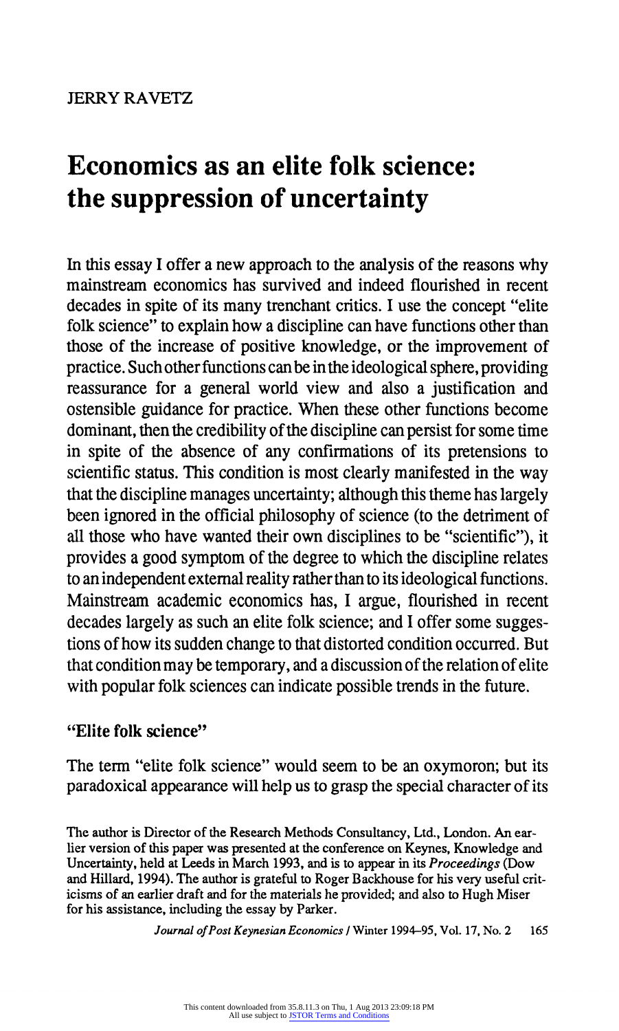## **Economics as an elite folk science: the suppression of uncertainty**

**In this essay I offer a new approach to the analysis of the reasons why mainstream economics has survived and indeed flourished in recent decades in spite of its many trenchant critics. I use the concept "elite folk science" to explain how a discipline can have functions other than those of the increase of positive knowledge, or the improvement of practice. Such other functions can be in the ideological sphere, providing reassurance for a general world view and also a justification and ostensible guidance for practice. When these other functions become dominant, then the credibility of the discipline can persist for some time in spite of the absence of any confirmations of its pretensions to scientific status. This condition is most clearly manifested in the way that the discipline manages uncertainty; although this theme has largely been ignored in the official philosophy of science (to the detriment of all those who have wanted their own disciplines to be "scientific"), it provides a good symptom of the degree to which the discipline relates to an independent extemal reality rather than to its ideological functions. Mainstream academic economics has, I argue, flourished in recent decades largely as such an elite folk science; and I offer some suggestions of how its sudden change to that distorted condition occurred. But that condition may be temporary, and a discussion of the relation of elite with popular folk sciences can indicate possible trends in the future.** 

### **"Elite folk science"**

**The term "elite folk science" would seem to be an oxymoron; but its paradoxical appearance will help us to grasp the special character of its** 

**The author is Director of the Research Methods Consultancy, Ltd., London. An earlier version of this paper was presented at the conference on Keynes, Knowledge and Uncertainty, held at Leeds in March 1993, and is to appear in its Proceedings (Dow and Hillard, 1994). The author is grateful to Roger Backhouse for his very useful criticisms of an earlier draft and for the materials he provided; and also to Hugh Miser for his assistance, including the essay by Parker.** 

**Journal of Post Keynesian Economics / Winter 1994-95, Vol. 17, No. 2 165**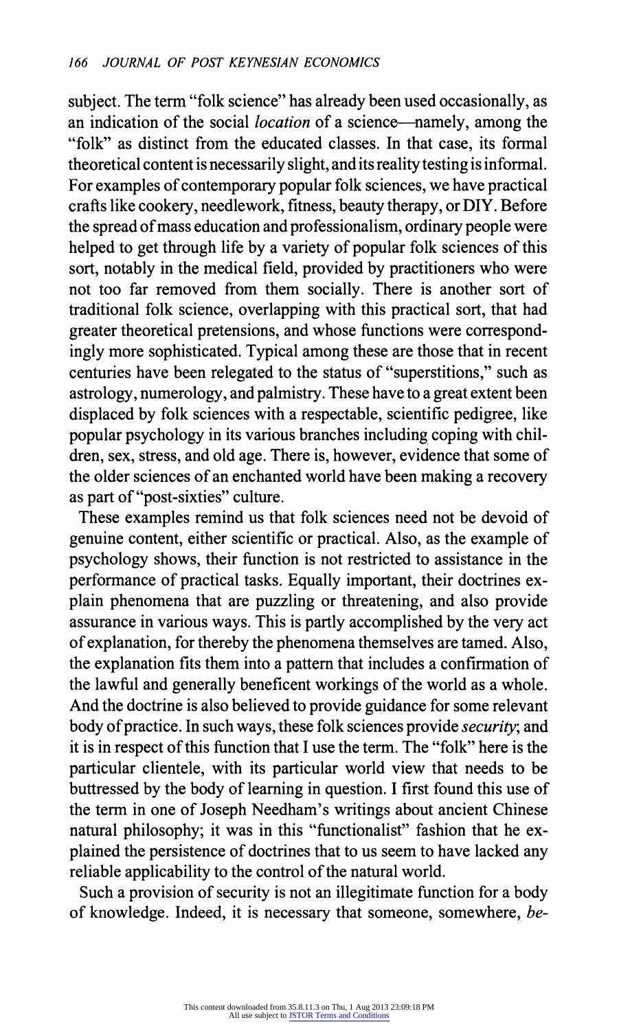**subject. The term "folk science" has already been used occasionally, as an indication of the social location of a science-namely, among the "folk" as distinct from the educated classes. In that case, its formal theoretical content is necessarily slight, and its reality testing is informal. For examples of contemporary popular folk sciences, we have practical crafts like cookery, needlework, fitness, beauty therapy, or DIY. Before the spread of mass education and professionalism, ordinary people were helped to get through life by a variety of popular folk sciences of this sort, notably in the medical field, provided by practitioners who were not too far removed from them socially. There is another sort of traditional folk science, overlapping with this practical sort, that had greater theoretical pretensions, and whose functions were correspondingly more sophisticated. Typical among these are those that in recent centuries have been relegated to the status of "superstitions," such as astrology, numerology, and palmistry. These have to a great extent been displaced by folk sciences with a respectable, scientific pedigree, like popular psychology in its various branches including coping with children, sex, stress, and old age. There is, however, evidence that some of the older sciences of an enchanted world have been making a recovery as part of "post-sixties" culture.** 

**These examples remind us that folk sciences need not be devoid of genuine content, either scientific or practical. Also, as the example of psychology shows, their function is not restricted to assistance in the performance of practical tasks. Equally important, their doctrines explain phenomena that are puzzling or threatening, and also provide assurance in various ways. This is partly accomplished by the very act of explanation, for thereby the phenomena themselves are tamed. Also, the explanation fits them into a pattern that includes a confirmation of the lawful and generally beneficent workings of the world as a whole. And the doctrine is also believed to provide guidance for some relevant body of practice. In such ways, these folk sciences provide security; and it is in respect of this function that I use the term. The "folk" here is the particular clientele, with its particular world view that needs to be buttressed by the body of learning in question. I first found this use of the term in one of Joseph Needham's writings about ancient Chinese natural philosophy; it was in this "functionalist" fashion that he explained the persistence of doctrines that to us seem to have lacked any reliable applicability to the control of the natural world.** 

**Such a provision of security is not an illegitimate function for a body of knowledge. Indeed, it is necessary that someone, somewhere, be-**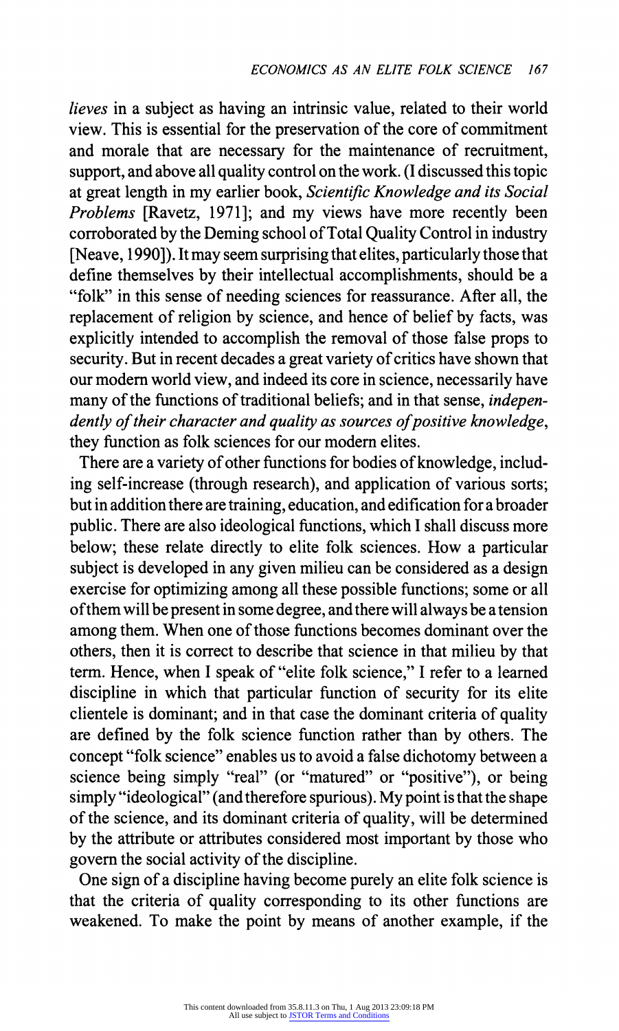**lieves in a subject as having an intrinsic value, related to their world view. This is essential for the preservation of the core of commitment and morale that are necessary for the maintenance of recruitment, support, and above all quality control on the work. (I discussed this topic at great length in my earlier book, Scientific Knowledge and its Social Problems [Ravetz, 1971]; and my views have more recently been corroborated by the Deming school of Total Quality Control in industry [Neave, 1990]). It may seem surprising that elites, particularly those that define themselves by their intellectual accomplishments, should be a "folk" in this sense of needing sciences for reassurance. After all, the replacement of religion by science, and hence of belief by facts, was explicitly intended to accomplish the removal of those false props to security. But in recent decades a great variety of critics have shown that our modem world view, and indeed its core in science, necessarily have many of the functions of traditional beliefs; and in that sense, indepen**dently of their character and quality as sources of positive knowledge, **they function as folk sciences for our modem elites.** 

**There are a variety of other functions for bodies of knowledge, including self-increase (through research), and application of various sorts; but in addition there are training, education, and edification for a broader public. There are also ideological functions, which I shall discuss more below; these relate directly to elite folk sciences. How a particular subject is developed in any given milieu can be considered as a design exercise for optimizing among all these possible functions; some or all ofthem will be present in some degree, and there will always be a tension among them. When one of those functions becomes dominant over the**  others, then it is correct to describe that science in that milieu by that **term. Hence, when I speak of "elite folk science," I refer to a learned discipline in which that particular function of security for its elite clientele is dominant; and in that case the dominant criteria of quality are defined by the folk science function rather than by others. The concept "folk science" enables us to avoid a false dichotomy between a science being simply "real" (or "matured" or "positive"), or being simply "ideological" (and therefore spurious). My point is that the shape of the science, and its dominant criteria of quality, will be determined by the attribute or attributes considered most important by those who govern the social activity of the discipline.** 

**One sign of a discipline having become purely an elite folk science is that the criteria of quality corresponding to its other functions are weakened. To make the point by means of another example, if the**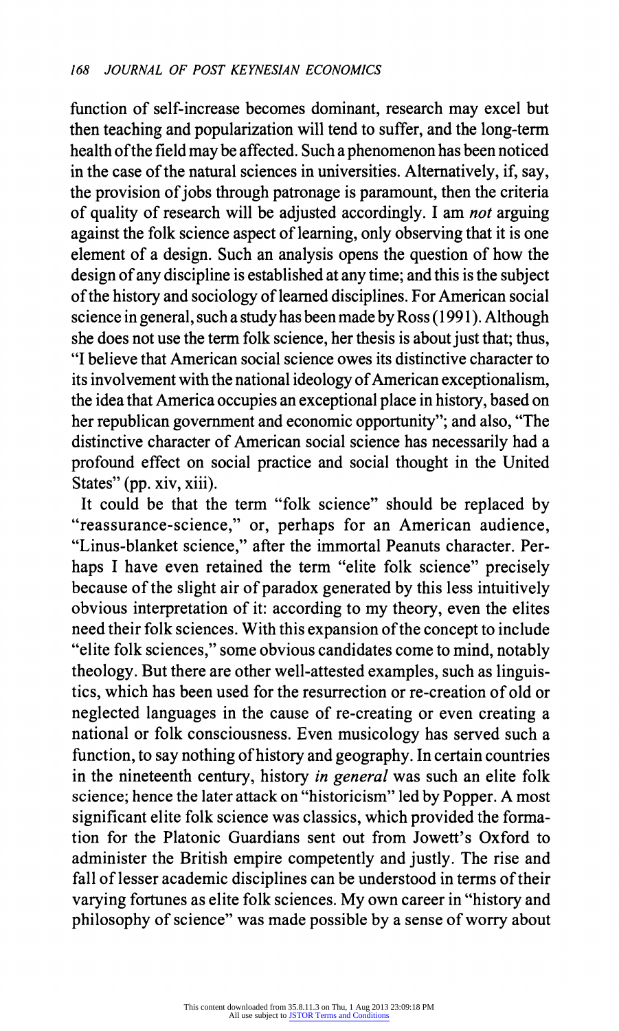**function of self-increase becomes dominant, research may excel but then teaching and popularization will tend to suffer, and the long-term health ofthe field may be affected. Such a phenomenon has been noticed in the case of the natural sciences in universities. Alternatively, if, say, the provision ofjobs through patronage is paramount, then the criteria of quality of research will be adjusted accordingly. Iam not arguing**  against the folk science aspect of learning, only observing that it is one **element of a design. Such an analysis opens the question of how the design of any discipline is established at any time; and this is the subject of the history and sociology of leamed disciplines. For American social science in general, such a study has been made by Ross (1991). Although she does not use the term folk science, her thesis is about just that; thus, "I believe that American social science owes its distinctive character to its involvement with the national ideology of American exceptionalism, the idea that America occupies an exceptional place in history, based on her republican government and economic opportunity"; and also, "The distinctive character of American social science has necessarily had a profound effect on social practice and social thought in the United States" (pp. xiv, xiii).** 

**It could be that the term "folk science" should be replaced by**  "reassurance-science," or, perhaps for an American audience, **"Linus-blanket science," after the immortal Peanuts character. Perhaps I have even retained the term "elite folk science" precisely because of the slight air of paradox generated by this less intuitively obvious interpretation of it: according to my theory, even the elites need their folk sciences. With this expansion of the concept to include "elite folk sciences," some obvious candidates come to mind, notably theology. But there are other well-attested examples, such as linguistics, which has been used for the resurrection or re-creation of old or neglected languages in the cause of re-creating or even creating a national or folk consciousness. Even musicology has served such a function, to say nothing of history and geography. In certain countries in the nineteenth century, history in general was such an elite folk science; hence the later attack on "historicism" led by Popper. A most significant elite folk science was classics, which provided the forma**tion for the Platonic Guardians sent out from Jowett's Oxford to **administer the British empire competently and justly. The rise and fall of lesser academic disciplines can be understood in terms of their varying fortunes as elite folk sciences. My own career in "history and philosophy of science" was made possible by a sense of worry about**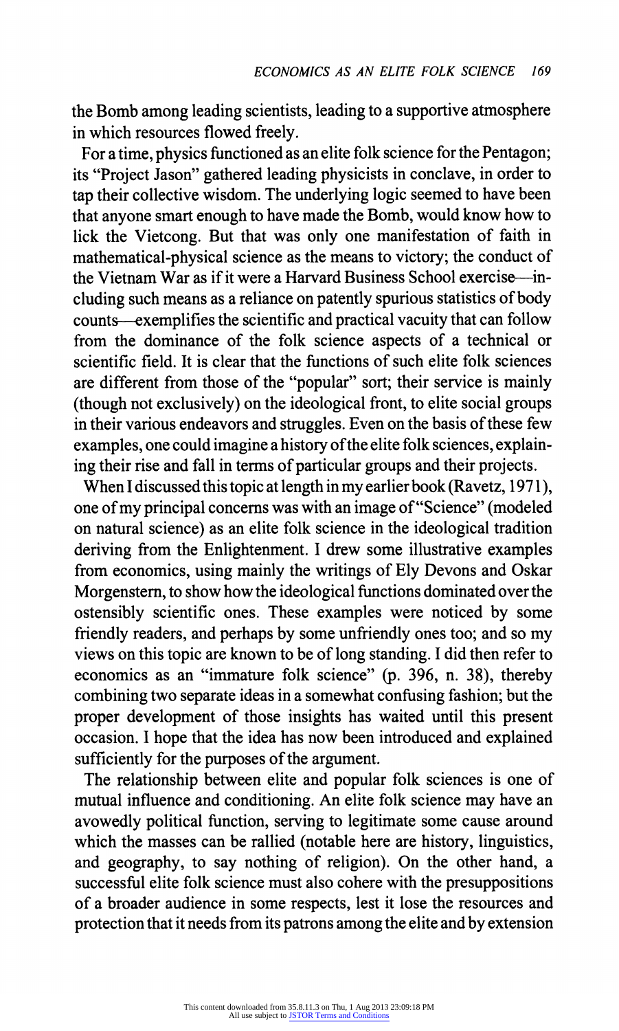**the Bomb among leading scientists, leading to a supportive atmosphere in which resources flowed freely.** 

**For a time, physics functioned as an elite folk science for the Pentagon; its "Project Jason" gathered leading physicists in conclave, in order to tap their collective wisdom. The underlying logic seemed to have been that anyone smart enough to have made the Bomb, would know how to lick the Vietcong. But that was only one manifestation of faith in mathematical-physical science as the means to victory; the conduct of the Vietnam War as if it were a Harvard Business School exercise-in**cluding such means as a reliance on patently spurious statistics of body **counts-exemplifies the scientific and practical vacuity that can follow from the dominance of the folk science aspects of a technical or scientific field. It is clear that the functions of such elite folk sciences are different from those of the "popular" sort; their service is mainly (though not exclusively) on the ideological front, to elite social groups in their various endeavors and struggles. Even on the basis of these few**  examples, one could imagine a history of the elite folk sciences, explain**ing their rise and fall in terms of particular groups and their projects.** 

**When I discussed this topic at length in my earlier book (Ravetz, 1971), one of my principal concerns was with an image of "Science" (modeled on natural science) as an elite folk science in the ideological tradition**  deriving from the Enlightenment. I drew some illustrative examples **from economics, using mainly the writings of Ely Devons and Oskar Morgenstern, toshow how the ideological functions dominated over the ostensibly scientific ones. These examples were noticed by some friendly readers, and perhaps by some unfriendly ones too; and so my**  views on this topic are known to be of long standing. I did then refer to **economics as an "immature folk science" (p. 396, n. 38), thereby combining two separate ideas in a somewhat confusing fashion; but the proper development of those insights has waited until this present occasion. I hope that the idea has now been introduced and explained sufficiently for the purposes of the argument.** 

**The relationship between elite and popular folk sciences is one of mutual influence and conditioning. An elite folk science may have an avowedly political function, serving to legitimate some cause around which the masses can be rallied (notable here are history, linguistics, and geography, to say nothing of religion). On the other hand, a successful elite folk science must also cohere with the presuppositions of a broader audience in some respects, lest it lose the resources and protection that it needs from its patrons among the elite and by extension**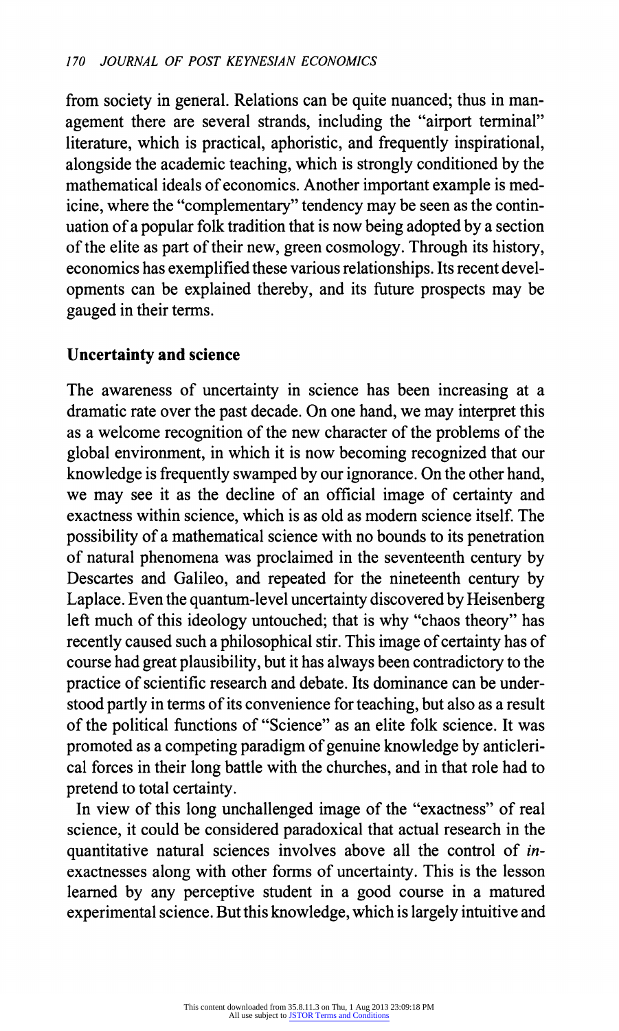**from society in general. Relations can be quite nuanced; thus in man**agement there are several strands, including the "airport terminal" **literature, which is practical, aphoristic, and frequently inspirational, alongside the academic teaching, which is strongly conditioned by the mathematical ideals of economics. Another important example is medicine, where the "complementary" tendency may be seen as the continuation of a popular folk tradition that is now being adopted by a section of the elite as part of their new, green cosmology. Through its history, economics has exemplified these various relationships. Its recent developments can be explained thereby, and its future prospects may be gauged in their terms.** 

### **Uncertainty and science**

**The awareness of uncertainty in science has been increasing at a dramatic rate over the past decade. On one hand, we may interpret this as a welcome recognition of the new character of the problems of the global environment, in which it is now becoming recognized that our knowledge is frequently swamped by our ignorance. On the other hand, we may see it as the decline of an official image of certainty and exactness within science, which is as old as modem science itself. The possibility of a mathematical science with no bounds to its penetration of natural phenomena was proclaimed in the seventeenth century by Descartes and Galileo, and repeated for the nineteenth century by Laplace. Even the quantum-level uncertainty discovered by Heisenberg left much of this ideology untouched; that is why "chaos theory" has recently caused such a philosophical stir. This image of certainty has of course had great plausibility, but it has always been contradictory tothe practice of scientific research and debate. Its dominance can be understood partly in terms of its convenience for teaching, but also as a result of the political functions of "Science" as an elite folk science. It was promoted as a competing paradigm of genuine knowledge by anticlerical forces in their long battle with the churches, and in that role had to pretend to total certainty.** 

**In view of this long unchallenged image of the "exactness" of real science, it could be considered paradoxical that actual research in the quantitative natural sciences involves above all the control of inexactnesses along with other forms of uncertainty. This is the lesson learned by any perceptive student in a good course in a matured experimental science. But this knowledge, which is largely intuitive and**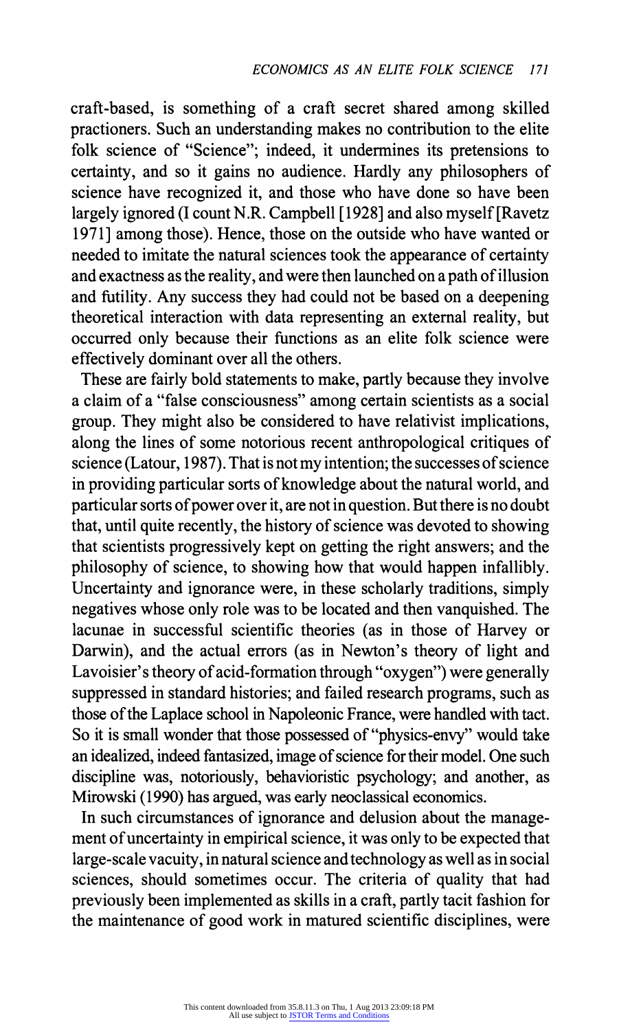**craft-based, is something of a craft secret shared among skilled practioners. Such an understanding makes no contribution to the elite folk science of "Science"; indeed, it undermines its pretensions to certainty, and so it gains no audience. Hardly any philosophers of science have recognized it, and those who have done so have been largely ignored (I count N.R. Campbell [1928] and also myself [Ravetz 1971] among those). Hence, those on the outside who have wanted or needed to imitate the natural sciences took the appearance of certainty and exactness as the reality, and were then launched on a path of illusion and futility. Any success they had could not be based on a deepening theoretical interaction with data representing an external reality, but occurred only because their functions as an elite folk science were effectively dominant over all the others.** 

**These are fairly bold statements to make, partly because they involve a claim of a "false consciousness" among certain scientists as a social group. They might also be considered to have relativist implications, along the lines of some notorious recent anthropological critiques of science (Latour, 1987). That is not my intention; the successes of science in providing particular sorts of knowledge about the natural world, and particular sorts of power over it, are not in question. But there is no doubt that, until quite recently, the history of science was devoted to showing that scientists progressively kept on getting the right answers; and the philosophy of science, to showing how that would happen infallibly. Uncertainty and ignorance were, in these scholarly traditions, simply negatives whose only role was to be located and then vanquished. The lacunae in successful scientific theories (as in those of Harvey or Darwin), and the actual errors (as in Newton's theory of light and Lavoisier's theory of acid-formation through "oxygen") were generally suppressed in standard histories; and failed research programs, such as those of the Laplace school in Napoleonic France, were handled with tact. So it is small wonder that those possessed of "physics-envy" would take an idealized, indeed fantasized, image of science for their model. One such discipline was, notoriously, behavioristic psychology; and another, as Mirowski (1990) has argued, was early neoclassical economics.** 

**In such circumstances of ignorance and delusion about the management of uncertainty in empirical science, it was only to be expected that large-scale vacuity, in natural science and technology as well as in social sciences, should sometimes occur. The criteria of quality that had previously been implemented as skills in a craft, partly tacit fashion for the maintenance of good work in matured scientific disciplines, were**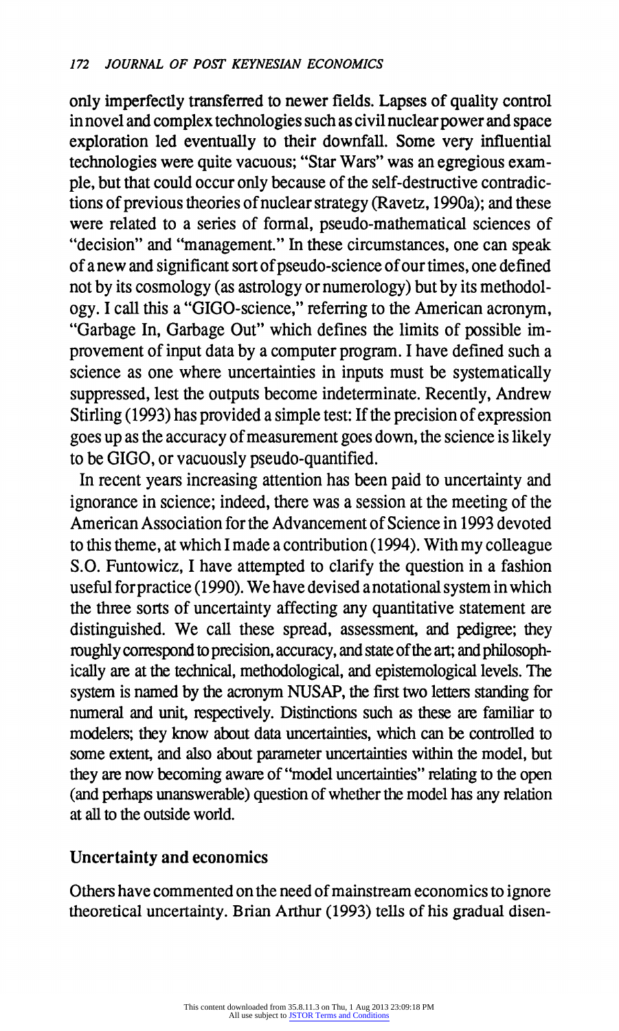**only imperfectly transferred to newer fields. Lapses of quality control in novel and complex technologies such as civil nuclear power and space exploration led eventually to their downfall. Some very influential technologies were quite vacuous; "Star Wars" was an egregious example, but that could occur only because of the self-destructive contradictions of previous theories of nuclear strategy (Ravetz, 1990a); and these were related to a series of formal, pseudo-mathematical sciences of "decision" and "management." In these circumstances, one can speak of a new and significant sort of pseudo-science of our times, one defined not by its cosmology (as astrology or numerology) but by its methodology. I call this a "GIGO-science," referring to the American acronym, "Garbage In, Garbage Out" which defines the limits of possible improvement of input data by a computer program. I have defined such a science as one where uncertainties in inputs must be systematically suppressed, lest the outputs become indeterminate. Recently, Andrew Stirling (1993) has provided a simple test: If the precision of expression goes up as the accuracy of measurement goes down, the science is likely to be GIGO, or vacuously pseudo-quantified.** 

**In recent years increasing attention has been paid to uncertainty and ignorance in science; indeed, there was a session at the meeting of the American Association for the Advancement of Science in 1993 devoted to this theme, at which I made a contribution (1994). With my colleague S.O. Funtowicz, I have attempted to clarify the question in a fashion useful forpractice (1990). We have devised a notational system in which the three sorts of uncertainty affecting any quantitative statement are**  distinguished. We call these spread, assessment, and pedigree; they **roughly correspond to precision, accuracy, and state of the art; and philosophically are at the technical, methodological, and epistemological levels. The system is named by the acronym NUSAP, the first two letters standing for numeral and unit, respectively. Distinctions such as these are familiar to modelers; they know about data uncertainties, which can be controlled to**  some extent, and also about parameter uncertainties within the model, but **they are now becoming aware of "model uncertainties" relating to the open (and perhaps unanswerable) quesfion of whether the model has any relation at all to the outside world.** 

### **Uncertainty and economics**

**Others have commented on the need of mainstream economics to ignore theoretical uncertainty. Brian Arthur (1993) tells of his gradual disen-**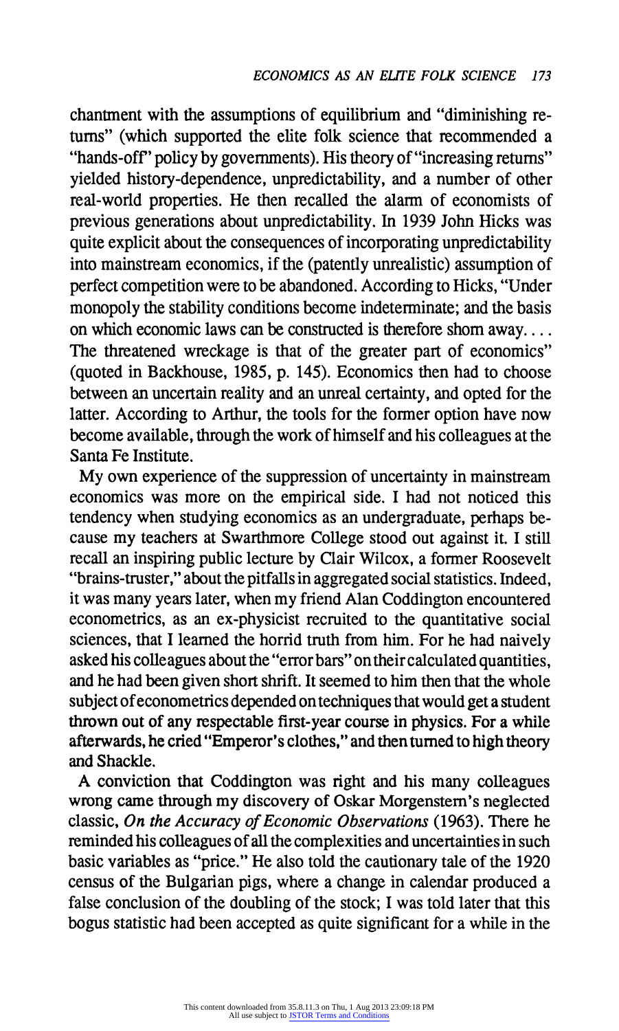**chantment with the assumptions of equilibrium and "diminishing returns" (which supported the elite folk science that recommended a "hands-off' policy by goverunents). His theory of "increasing retums" yielded history-dependence, unpredictability, and a number of other real-world properties. He then recalled the alarm of economists of previous generations about unpredictability. In 1939 John Hicks was quite explicit about the consequences of incorporating unpredictability into mainstream economics, if the (patently unrealistic) assumption of perfect competition were to be abandoned. According to Hicks, "Under monopoly the stability conditions become indeterminate; and the basis on which economic laws can be constructed is therefore shom away.... The threatened wreckage is that of the greater part of economics" (quoted in Backhouse, 1985, p. 145). Economics then had to choose between an uncertain reality and an unreal certainty, and opted for the latter. According to Arthur, the tools for the former option have now become available, through the work of himself and his colleagues at the Santa Fe Institute.** 

**My own experience of the suppression of uncertainty in mainstream economics was more on the empirical side. I had not noticed this tendency when studying economics as an undergraduate, perhaps because my teachers at Swarthmore College stood out against it. I still recall an inspiring public lecture by Clair Wilcox, a former Roosevelt**  "brains-truster," about the pitfalls in aggregated social statistics. Indeed, **it was many years later, when my friend Alan Coddington encountered econometrics, as an ex-physicist recruited to the quantitative social sciences, that I leamed the horrid truth from him. For he had naively**  asked his colleagues about the "error bars" on their calculated quantities, **and he had been given short shrift. It seemed to him then that the whole subject of econometrics depended on techniques that would get a student thrown out of any respectable first-year course in physics. For a while afterwards, he cried "Emperor's clothes," and then tuumed tohigh theory and Shackle.** 

**A conviction that Coddington was right and his many colleagues wrong came through my discovery of Oskar Morgenstem's neglected classic, On the Accuracy of Economic Observations (1963). There he reminded his colleagues of all the complexities and uncertainties in such basic variables as "price." He also told the cautionary tale of the 1920 census of the Bulgarian pigs, where a change in calendar produced a false conclusion of the doubling of the stock; I was told later that this bogus statistic had been accepted as quite significant for a while in the**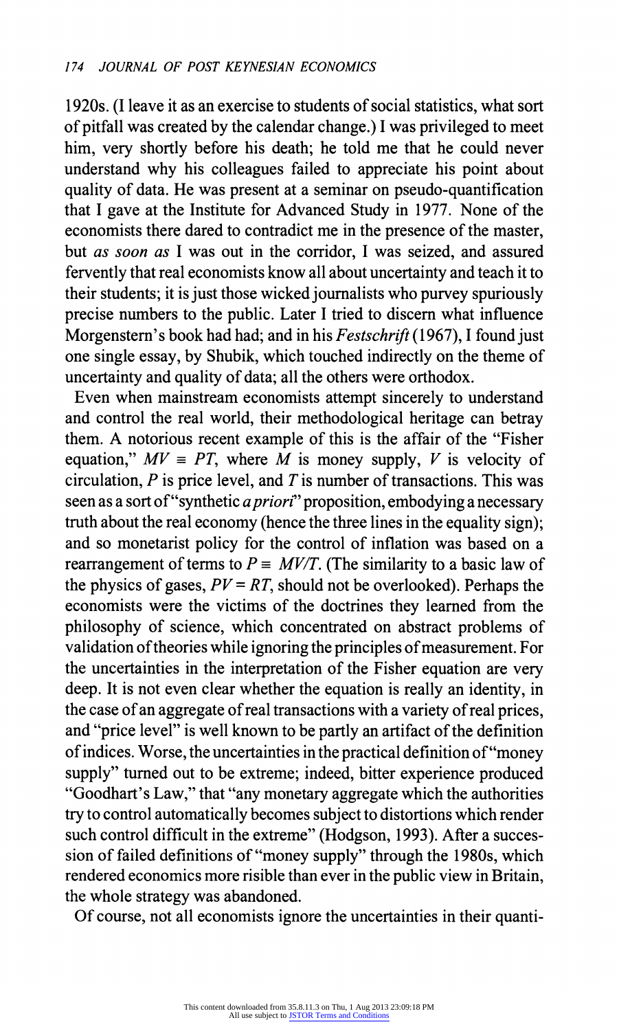**1920s. (I leave it as an exercise to students of social statistics, what sort of pitfall was created by the calendar change.) I was privileged to meet him, very shortly before his death; he told me that he could never understand why his colleagues failed to appreciate his point about quality of data. He was present at a seminar on pseudo-quantification that I gave at the Institute for Advanced Study in 1977. None of the economists there dared to contradict me in the presence of the master, but as soon as I was out in the corridor, I was seized, and assured fervently that real economists know all about uncertainty and teach it to their students; it is just those wicked journalists who purvey spuriously precise numbers to the public. Later I tried to discern what influence Morgenstern's book had had; and in his Festschrift (1967), I found just one single essay, by Shubik, which touched indirectly on the theme of uncertainty and quality of data; all the others were orthodox.** 

**Even when mainstream economists attempt sincerely to understand and control the real world, their methodological heritage can betray them. A notorious recent example of this is the affair of the "Fisher**  equation,"  $MV \equiv PT$ , where M is money supply, V is velocity of **circulation, P is price level, and T is number of transactions. This was seen as a sort of "synthetic apriori" proposition, embodying a necessary truth about the real economy (hence the three lines in the equality sign); and so monetarist policy for the control of inflation was based on a rearrangement of terms to**  $P = MV/T$ **. (The similarity to a basic law of** the physics of gases,  $PV = RT$ , should not be overlooked). Perhaps the **economists were the victims of the doctrines they learned from the philosophy of science, which concentrated on abstract problems of validation of theories while ignoring the principles of measurement. For the uncertainties in the interpretation of the Fisher equation are very deep. It is not even clear whether the equation is really an identity, in the case of an aggregate of real transactions with a variety of real prices, and "price level" is well known to be partly an artifact of the definition of indices. Worse, the uncertainties in the practical definition of "money supply" turned out to be extreme; indeed, bitter experience produced "Goodhart's Law," that "any monetary aggregate which the authorities try to control automatically becomes subject to distortions which render such control difficult in the extreme" (Hodgson, 1993). After a succession of failed definitions of "money supply" through the 1 980s, which rendered economics more risible than ever in the public view in Britain, the whole strategy was abandoned.** 

**Of course, not all economists ignore the uncertainties in their quanti-**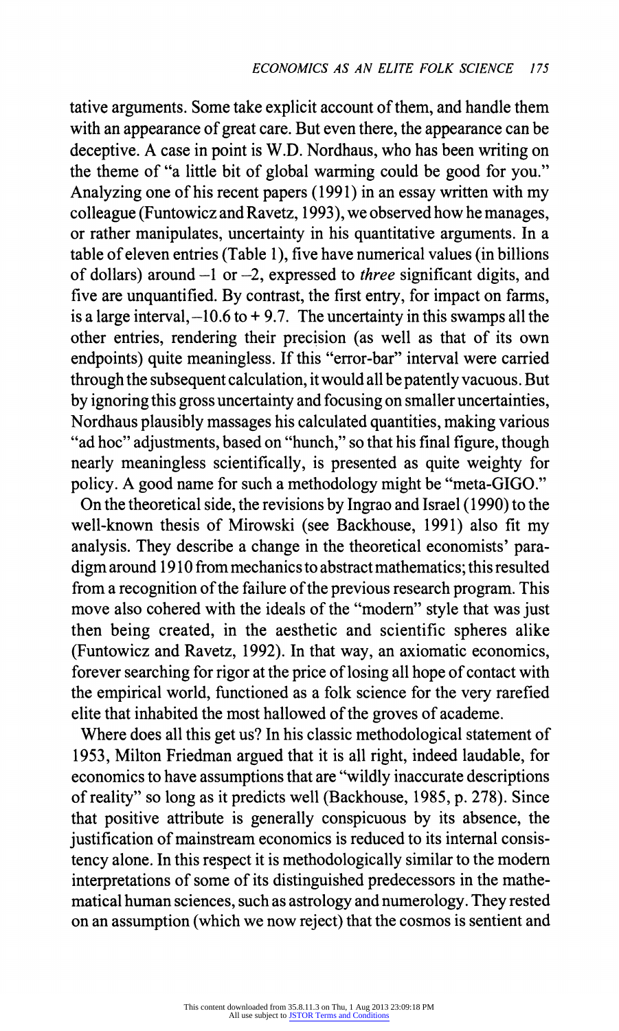**tative arguments. Some take explicit account of them, and handle them with an appearance of great care. But even there, the appearance can be deceptive. A case in point is W.D. Nordhaus, who has been writing on the theme of "a little bit of global warming could be good for you." Analyzing one of his recent papers (1991) in an essay written with my colleague (Funtowicz and Ravetz, 1993), we observed how he manages, or rather manipulates, uncertainty in his quantitative arguments. In a table of eleven entries (Table 1), five have numerical values (in billions of dollars) around -1 or -2, expressed to three significant digits, and five are unquantified. By contrast, the first entry, for impact on farms,**  is a large interval,  $-10.6$  to  $+9.7$ . The uncertainty in this swamps all the **other entries, rendering their precision (as well as that of its own endpoints) quite meaningless. If this "error-bar" interval were carried through the subsequent calculation, itwould all be patently vacuous. But by ignoring this gross uncertainty and focusing on smaller uncertainties, Nordhaus plausibly massages his calculated quantities, making various "ad hoc" adjustments, based on "hunch," so that his final figure, though nearly meaningless scientifically, is presented as quite weighty for policy. A good name for such a methodology might be "meta-GIGO."** 

**On the theoretical side, the revisions by Ingrao and Israel (1990) to the well-known thesis of Mirowski (see Backhouse, 1991) also fit my analysis. They describe a change in the theoretical economists' paradigm around 1910 from mechanics to abstract mathematics; this resulted from a recognition of the failure of the previous research program. This move also cohered with the ideals of the "modern" style that was just then being created, in the aesthetic and scientific spheres alike (Funtowicz and Ravetz, 1992). In that way, an axiomatic economics, forever searching for rigor at the price of losing all hope of contact with the empirical world, functioned as a folk science for the very rarefied elite that inhabited the most hallowed of the groves of academe.** 

**Where does all this get us? In his classic methodological statement of 1953, Milton Friedman argued that it is all right, indeed laudable, for economics to have assumptions that are "wildly inaccurate descriptions of reality" so long as it predicts well (Backhouse, 1985, p. 278). Since that positive attribute is generally conspicuous by its absence, the justification of mainstream economics is reduced to its internal consistency alone. In this respect it is methodologically similar to the modern**  interpretations of some of its distinguished predecessors in the mathe**matical human sciences, such as astrology and numerology. They rested on an assumption (which we now reject) that the cosmos is sentient and**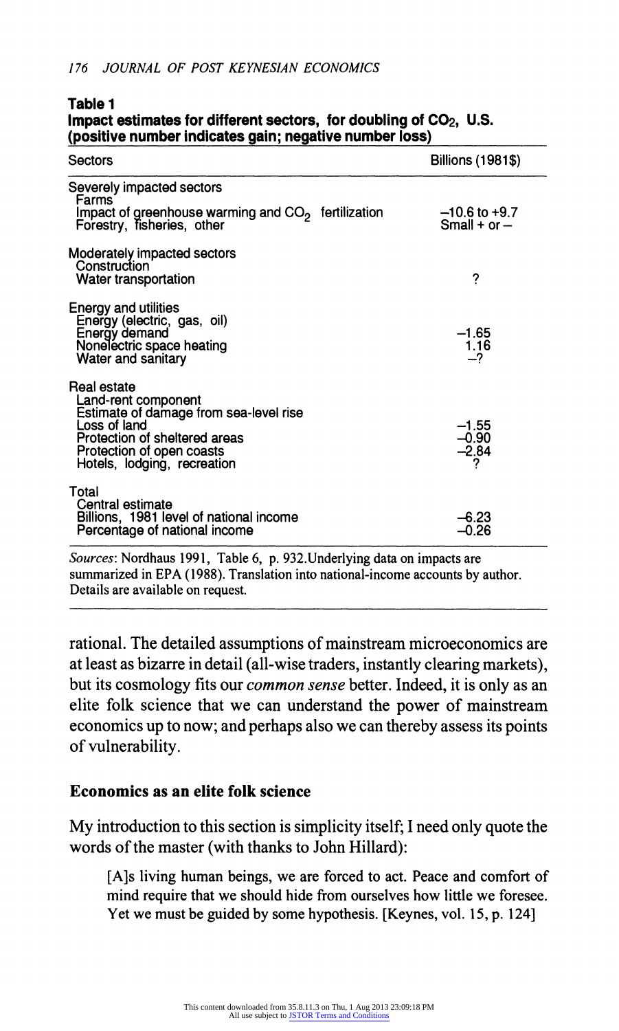| $V^{\text{S}}$<br><b>Sectors</b>                                                                                                                                                          | <b>Billions (1981\$)</b>              |
|-------------------------------------------------------------------------------------------------------------------------------------------------------------------------------------------|---------------------------------------|
| Severely impacted sectors<br>Farms<br>Impact of greenhouse warming and $CO2$ fertilization<br>Forestry, fisheries, other                                                                  | $-10.6$ to $+9.7$<br>Small $+$ or $-$ |
| Moderately impacted sectors<br>Construction<br>Water transportation                                                                                                                       | ?                                     |
| <b>Energy and utilities</b><br>Energy (electric, gas, oil)<br>Energy demand<br>Nonelectric space heating<br>Water and sanitary                                                            | $-1.65$<br>1.16<br>--?                |
| Real estate<br>Land-rent component<br>Estimate of damage from sea-level rise<br>Loss of land<br>Protection of sheltered areas<br>Protection of open coasts<br>Hotels, lodging, recreation | $-1.55$<br>$-0.90$<br>$-2.84$         |
| Total<br>Central estimate<br>Billions, 1981 level of national income<br>Percentage of national income                                                                                     | -6.23<br>$-0.26$                      |

#### **Table 1 Impact estimates for different sectors, for doubling of C02, U.S. (positive number indicates gain; negative number loss)**

**Sources: Nordhaus 1991, Table 6, p. 932.Underlying data on impacts are summarized in EPA (1988). Translation into national-income accounts by author. Details are available on request.** 

**rational. The detailed assumptions of mainstream microeconomics are at least as bizarre in detail (all-wise traders, instantly clearing markets), but its cosmology fits our common sense better. Indeed, it is only as an elite folk science that we can understand the power of mainstream economics up to now; and perhaps also we can thereby assess its points of vulnerability.** 

#### **Economics as an elite folk science**

**My introduction to this section is simplicity itself; I need only quote the words of the master (with thanks to John Hillard):** 

**[A]s living human beings, we are forced to act. Peace and comfort of mind require that we should hide from ourselves how little we foresee. Yet we must be guided by some hypothesis. [Keynes, vol. 15, p. 124]**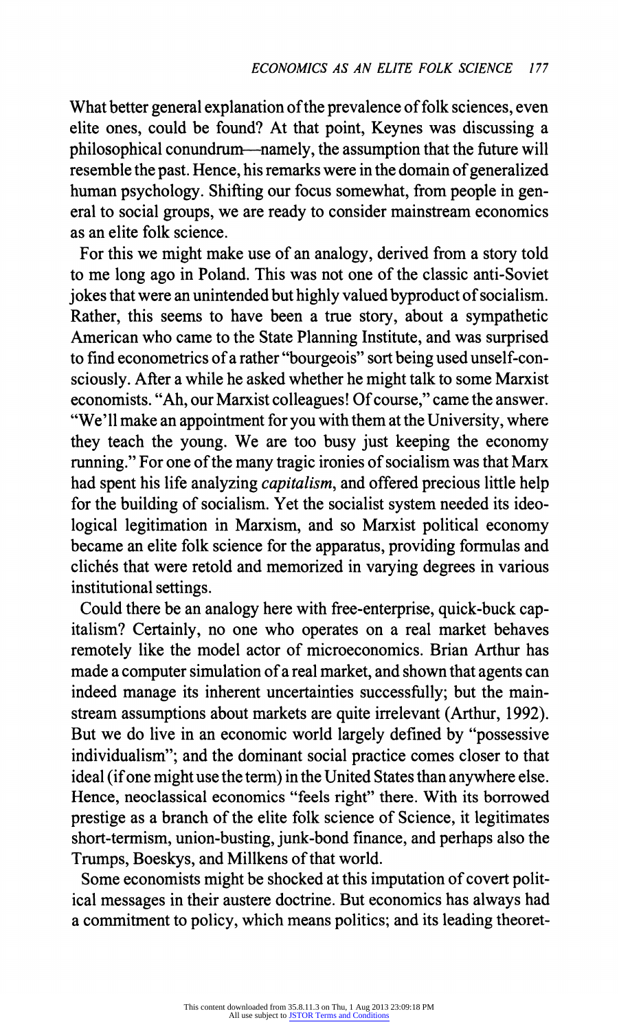What better general explanation of the prevalence of folk sciences, even **elite ones, could be found? At that point, Keynes was discussing a philosophical conundrum-namely, the assumption that the future will resemble the past. Hence, his remarks were in the domain of generalized human psychology. Shifting our focus somewhat, from people in general to social groups, we are ready to consider mainstream economics as an elite folk science.** 

**For this we might make use of an analogy, derived from a story told to me long ago in Poland. This was not one of the classic anti-Soviet jokes that were an unintended but highly valued byproduct of socialism. Rather, this seems to have been a true story, about a sympathetic American who came to the State Planning Institute, and was surprised to find econometrics of a rather "bourgeois" sort being used unself-consciously. After a while he asked whether he might talk to some Marxist economists. "Ah, our Marxist colleagues! Of course," came the answer. "We'll make an appointment for you with them at the University, where they teach the young. We are too busy just keeping the economy running." For one of the many tragic ironies of socialism was that Marx had spent his life analyzing capitalism, and offered precious little help for the building of socialism. Yet the socialist system needed its ideological legitimation in Marxism, and so Marxist political economy became an elite folk science for the apparatus, providing formulas and cliches that were retold and memorized in varying degrees in various institutional settings.** 

**Could there be an analogy here with free-enterprise, quick-buck capitalism? Certainly, no one who operates on a real market behaves remotely like the model actor of microeconomics. Brian Arthur has made a computer simulation of a real market, and shown that agents can indeed manage its inherent uncertainties successfully; but the mainstream assumptions about markets are quite irrelevant (Arthur, 1992). But we do live in an economic world largely defined by "possessive individualism"; and the dominant social practice comes closer to that**  ideal (if one might use the term) in the United States than anywhere else. **Hence, neoclassical economics "feels right" there. With its borrowed prestige as a branch of the elite folk science of Science, it legitimates short-termism, union-busting, junk-bond finance, and perhaps also the Trumps, Boeskys, and Millkens of that world.** 

**Some economists might be shocked at this imputation of covert political messages in their austere doctrine. But economics has always had a commitment to policy, which means politics; and its leading theoret-**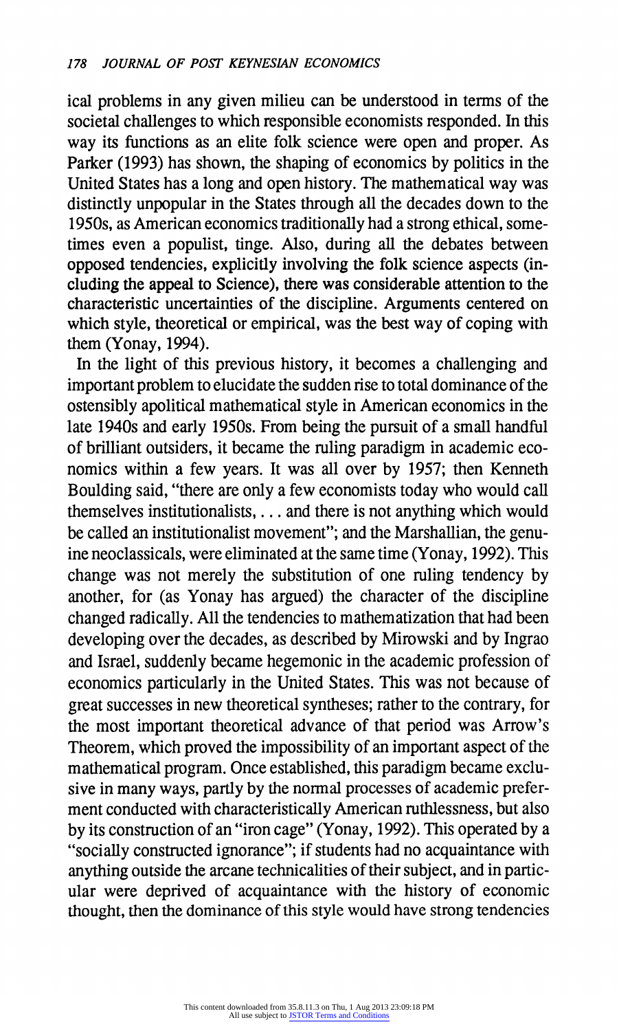**ical problems in any given milieu can be understood in terms of the societal challenges to which responsible economists responded. In this way its functions as an elite folk science were open and proper. As Parker (1993) has shown, the shaping of economics by politics in the United States has a long and open history. The mathematical way was distinctly unpopular in the States through all the decades down to the 1950s, as American economics traditionally had a strong ethical, sometimes even a populist, tinge. Also, during all the debates between opposed tendencies, explicitly involving the folk science aspects (including the appeal to Science), there was considerable attention to the characteristic uncertainties of the discipline. Arguments centered on which style, theoretical or empirical, was the best way of coping with them (Yonay, 1994).** 

**In the light of this previous history, it becomes a challenging and important problem to elucidate the sudden rise to total dominance of the ostensibly apolitical mathematical style in American economics in the late 1940s and early 1950s. From being the pursuit of a small handful of brilliant outsiders, it became the ruling paradigm in academic economics within a few years. It was all over by 1957; then Kenneth Boulding said, "there are only a few economists today who would call themselves institutionalists, .. . and there is not anything which would be called an institutionalist movement"; and the Marshallian, the genuine neoclassicals, were eliminated at the same time (Yonay, 1992). This change was not merely the substitution of one ruling tendency by another, for (as Yonay has argued) the character of the discipline changed radically. All the tendencies to mathematization that had been developing over the decades, as described by Mirowski and by Ingrao and Israel, suddenly became hegemonic in the academic profession of economics particularly in the United States. This was not because of great successes in new theoretical syntheses; rather to the contrary, for the most important theoretical advance of that period was Arrow's Theorem, which proved the impossibility of an important aspect of the mathematical program. Once established, this paradigm became exclusive in many ways, partly by the nornal processes of academic preferment conducted with characteristically American ruthlessness, but also by its construction of an "iron cage" (Yonay, 1992). This operated by a "socially constructed ignorance"; if students had no acquaintance with**  anything outside the arcane technicalities of their subject, and in partic**ular were deprived of acquaintance with the history of economic thought, then the dominance of this style would have strong tendencies**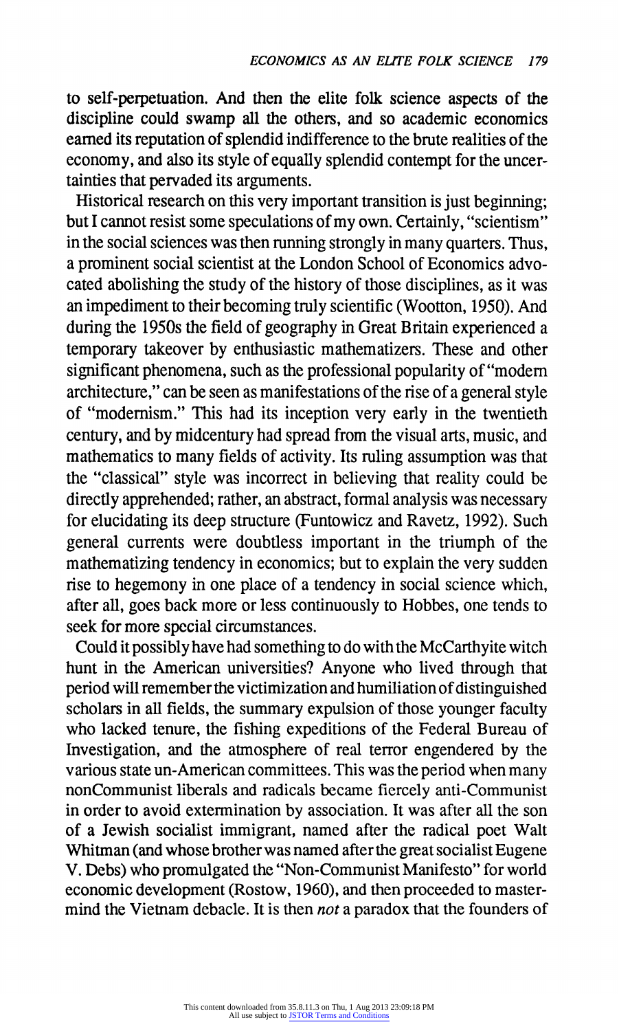**to self-perpetuation. And then the elite folk science aspects of the discipline could swamp all the others, and so academic economics earned its reputation of splendid indifference to the brute realities of the economy, and also its style of equally splendid contempt for the uncertainties that pervaded its arguments.** 

**Historical research on this very important transition is just beginning; but I cannot resist some speculations of my own. Certainly, "scientism" in the social sciences was then running strongly in many quarters. Thus, a prominent social scientist at the London School of Economics advocated abolishing the study of the history of those disciplines, as it was an impediment to their becoming truly scientific (Wootton, 1950). And during the 1950s the field of geography in Great Britain expenenced a temporary takeover by enthusiastic mathematizers. These and other significant phenomena, such as the professional popularity of "modem architecture," can be seen as manifestations of the rise of a general style of "modernism." This had its inception very early in the twentieth century, and by midcentury had spread from the visual arts, music, and mathematics to many fields of activity. Its ruling assumption was that the "classical" style was incorrect in believing that reality could be directly apprehended; rather, an abstract, formal analysis was necessary for elucidating its deep structure (Funtowicz and Ravetz, 1992). Such general currents were doubtless important in the triumph of the mathematizing tendency in economics; but to explain the very sudden rise to hegemony in one place of a tendency in social science which, after all, goes back more or less continuously to Hobbes, one tends to seek for more special circumstances.** 

**Could it possibly have had something to do with the McCarthyite witch hunt in the American universities? Anyone who lived through that period will remember the victimization and humili ation of distinguished scholars in all fields, the summary expulsion of those younger faculty who lacked tenure, the fishing expeditions of the Federal Bureau of Investigation, and the atmosphere of real terror engendered by the various state un-American committees. This was the period when many nonCommunist liberals and radicals became fiercely anti-Communist in order to avoid extennination by association. It was after all the son of a Jewish socialist immigrant, named after the radical poet Walt Whitman (and whose brother was named after the great socialist Eugene V. Debs) who promulgated the "Non-Communist Manifesto" for world economic development (Rostow, 1960), and then proceeded to mastermind the Vietnam debacle. It is then not a paradox that the founders of**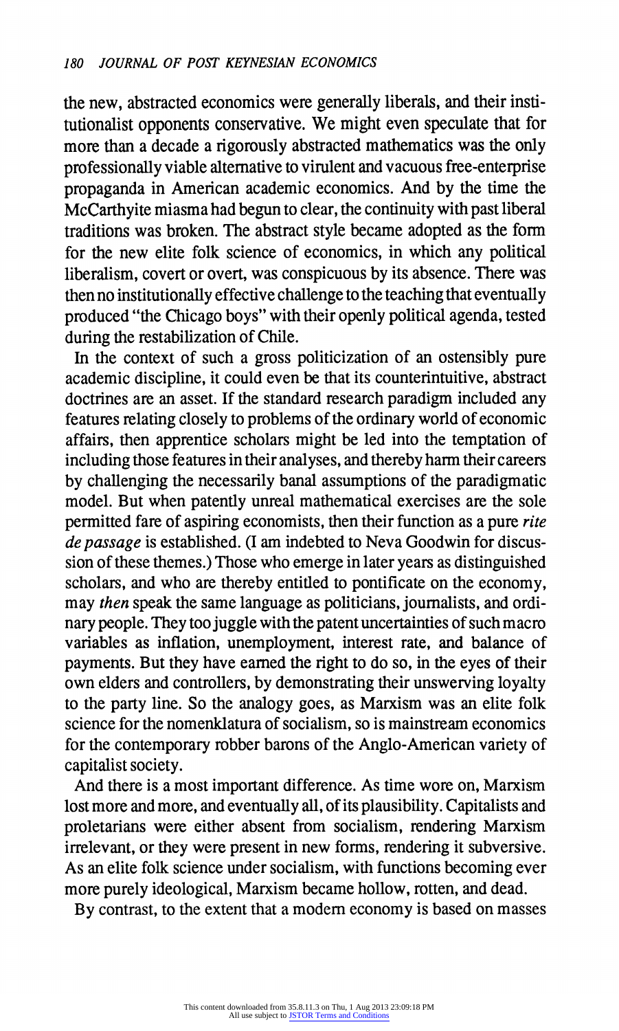**the new, abstracted economics were generally liberals, and their institutionalist opponents conservative. We might even speculate that for more than a decade a rigorously abstracted mathematics was the only professionally viable alternative to virulent and vacuous free-enterprise propaganda in American academic economics. And by the time the McCarthyite miasma had begun to clear, the continuity with past liberal traditions was broken. The abstract style became adopted as the form for the new elite folk science of economics, in which any political liberalism, covert or overt, was conspicuous by its absence. There was then no institutionally effective challenge to the teaching that eventually produced "the Chicago boys" with their openly political agenda, tested during the restabilization of Chile.** 

**In the context of such a gross politicization of an ostensibly pure academic discipline, it could even be that its counterintuitive, abstract doctrines are an asset. If the standard research paradigm included any features relating closely to problems of the ordinary world of economic affairs, then apprentice scholars might be led into the temptation of including those features in their analyses, and thereby hann their careers by challenging the necessarily banal assumptions of the paradigmatic model. But when patently unreal mathematical exercises are the sole permitted fare of aspiring economists, then their function as a pure rite de passage is established. (I am indebted to Neva Goodwin for discussion of these themes.) Those who emerge in later years as distinguished scholars, and who are thereby entitled to pontificate on the economy, may then speak the same language as politicians, journalists, and ordinary people. They too juggle with the patent uncertainties of such macro variables as inflation, unemployment, interest rate, and balance of payments. But they have earned the right to do so, in the eyes of their own elders and controllers, by demonstrating their unswerving loyalty to the party line. So the analogy goes, as Marxism was an elite folk science for the nomenklatura of socialism, so is mainstream economics for the contemporary robber barons of the Anglo-American variety of capitalist society.** 

**And there is a most important difference. As time wore on, Marxism lost more and more, and eventually all, of its plausibility. Capitalists and proletarians were either absent from socialism, rendering Marxism irrelevant, or they were present in new forns, rendering it subversive. As an elite folk science under socialism, with functions becoming ever more purely ideological, Marxism became hollow, rotten, and dead.** 

**By contrast, to the extent that a modem economy is based on masses**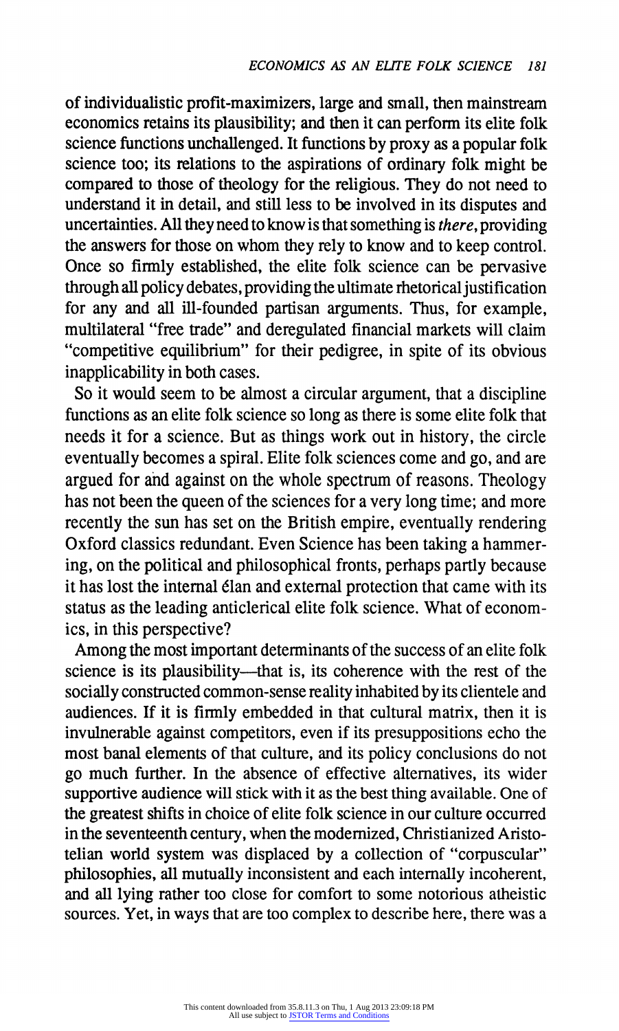**of individualistic profit-maximizers, large and small, then mainstream economics retains its plausibility; and then it can perform its elite folk science functions unchallenged. It functions by proxy as a popular folk science too; its relations to the aspirations of ordinary folk might be compared to those of theology for the religious. They do not need to understand itin detail, and still less to be involved in its disputes and uncertainties. All they need to know is that something is there, providing the answers for those on whom they rely to know and to keep control. Once so firmly established, the elite folk science can be pervasive through all policy debates, providing the ultimate rhetorical justification**  for any and all ill-founded partisan arguments. Thus, for example, **multilateral "free trade" and deregulated financial markets will claim**  "competitive equilibrium" for their pedigree, in spite of its obvious **inapplicability in both cases.** 

**So it would seem to be almost a circular argument, that a discipline functions as an elite folk science so long as there is some elite folk that needs it for a science. But as things work out in history, the circle eventually becomes a spiral. Elite folk sciences come and go, and are argued for and against on the whole spectrum of reasons. Theology has not been the queen of the sciences for a very long time; and more recently the sun has set on the British empire, eventually rendering Oxford classics redundant. Even Science has been taking a hammering, on the political and philosophical fronts, perhaps partly because**  it has lost the internal élan and external protection that came with its **status as the leading anticlerical elite folk science. What of economics, in this perspective?** 

Among the most important determinants of the success of an elite folk science is its plausibility----that is, its coherence with the rest of the **socially constructed common-sense reality inhabited by its clientele and audiences. If it is finnly embedded in that cultural matrix, then it is invulnerable against competitors, even if its presuppositions echo the most banal elements of that culture, and its policy conclusions do not go much further. In the absence of effective alternatives, its wider supportive audience will stick with it as the best thing available. One of the greatest shifts in choice of elite folk science in our culture occurred in the seventeenth century, when the modernized, Christianized Aristotelian world system was displaced by a collection of "corpuscular" philosophies, all mutually inconsistent and each internally incoherent, and all lying rather too close for comfort to some notorious atheistic sources. Yet, in ways that are too complex to describe here, there was a**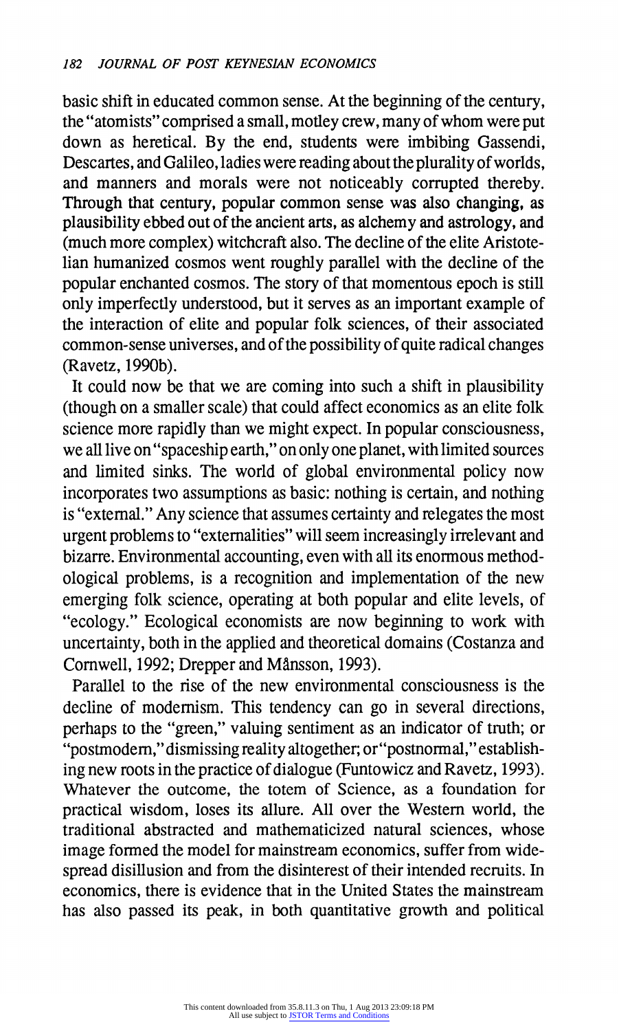**basic shift in educated common sense. At the beginning of the century, the "atomists" comprised asmall, motley crew, many of whom were put down as heretical. By the end, students were imbibing Gassendi, Descartes, and Galileo, ladies were reading abouthe plurality of worlds, and manners and morals were not noticeably corrupted thereby. Through that century, popular common sense was also changing, as plausibility ebbed out of the ancient arts, as alchemy and astrology, and (much more complex) witchcraft also. The decline of the elite Aristotelian humanized cosmos went roughly parallel with the decline of the popular enchanted cosmos. The story of that momentous epoch is still only imperfectly understood, but it serves as an important example of the interaction of elite and popular folk sciences, of their associated common-sense universes, and of the possibility of quite radical changes (Ravetz, 1990b).** 

**It could now be that we are coming into such a shift in plausibility (though on a smaller scale) that could affect economics as an elite folk science more rapidly than we might expect. In popular consciousness, we all live on "spaceship earth," on only one planet, with limited sources and limited sinks. The world of global envirornental policy now incorporates two assumptions as basic: nothing is certain, and nothing is "extemal." Any science that assumes certainty and relegates the most urgent problems to "extemalities"' will seem increasingly irrelevant and**  bizarre. Environmental accounting, even with all its enormous method**ological problems, is a recognition and implementation of the new emerging folk science, operating at both popular and elite levels, of "ecology." Ecological economists are now beginning to work with uncertainty, both in the applied and theoretical domains (Costanza and Cornwell, 1992; Drepper and Mansson, 1993).** 

**Parallel to the rise of the new environmental consciousness is the decline of modernism. This tendency can go in several directions, perhaps to the "green,"' valuing sentiment as an indicator of truth; or**  "postmodern," dismissing reality altogether; or "postnormal," establish**ing new roots in the practice of dialogue (Funtowicz and Ravetz, 1993). Whatever the outcome, the totem of Science, as a foundation for practical wisdom, loses its allure. All over the Western world, the traditional abstracted and mathematicized natural sciences, whose image fonned the model for mainstream economics, suffer from widespread disillusion and from the disinterest of their intended recruits. In economics, there is evidence that in the United States the mainstream has also passed its peak, in both quantitative growth and political**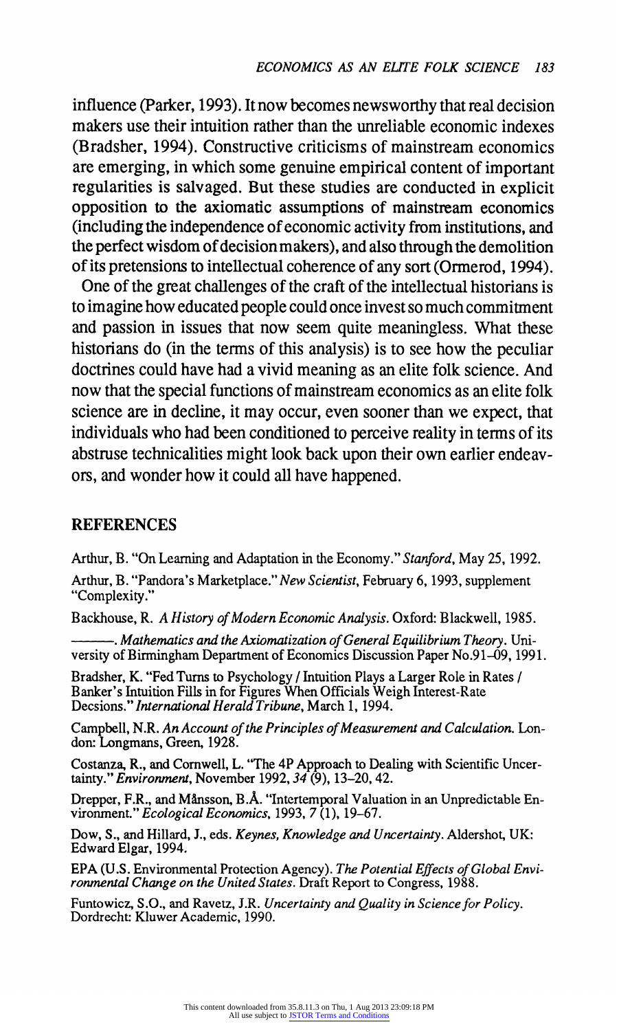**influence (Parker, 1993). It now becomes newsworthy that real decision makers use their intuition rather than the unreliable economic indexes (Bradsher, 1994). Constructive criticisms of mainstream economics are emerging, in which some genuine empirical content of important regularities is salvaged. But these studies are conducted in explicit opposition to the axiomatic assumptions of mainstream economics (including the independence of economic activity from institutions, and the perfect wisdom of decisionmakers), and also through the demolition**  of its pretensions to intellectual coherence of any sort (Ormerod, 1994).

**One of the great challenges of the craft of the intellectual historians is to imagine how educated people could once invest so much commitment and passion in issues that now seem quite meaningless. What these historians do (in the terms of this analysis) is to see how the peculiar doctrines could have had a vivid meaning as an elite folk science. And now that the special functions of mainstream economics as an elite folk science are in decline, it may occur, even sooner than we expect, that individuals who had been conditioned to perceive reality in tenns of its abstruse technicalities might look back upon their own earlier endeavors, and wonder how it could all have happened.** 

#### **REFERENCES**

**Arthur, B. "On Learning and Adaptation in the Economy." Stanford, May 25, 1992.** 

**Arthur, B. "Pandora's Marketplace." New Scientist, February 6, 1993, supplement "Complexity."** 

**Backhouse, R. A History of Modern Economic Analysis. Oxford: Blackwell, 1985.** 

**. Mathematics and the Axiomatization of General Equilibrium Theory. Uni**versity of Birmingham Department of Economics Discussion Paper No.91-09, 1991.

Bradsher, K. "Fed Turns to Psychology / Intuition Plays a Larger Role in Rates / **Banker's Intuition Fills in for Figures When Officials Weigh Interest-Rate Decsions." International Herald Tribune, March 1, 1994.** 

**Campbell, N.R. An Account of the Principles of Measurement and Calculation. London: Longmans, Green, 1928.** 

**Costanza, R., and Cornwell, L. "The 4P Approach to Dealing with Scientific Uncertainty." Environment, November 1992, 34 (9), 13-20, 42.** 

**Drepper, F.R., and MAnsson, B.A. "Intertemporal Valuation in an Unpredictable Environment." Ecological Economics, 1993, 7 (1), 19-67.** 

**Dow, S., and Hillard, J., eds. Keynes, Knowledge and Uncertainty. Aldershot, UK: Edward Elgar, 1994.** 

**EPA (U.S. Environmental Protection Agency). The Potential Effects of Global Environmental Change on the United States. Draft Report to Congress, 1988.** 

**Funtowicz, S.O., and Ravetz, J.R. Uncertainty and Quality in Science for Policy. Dordrecht: Kluwer Academic, 1990.**